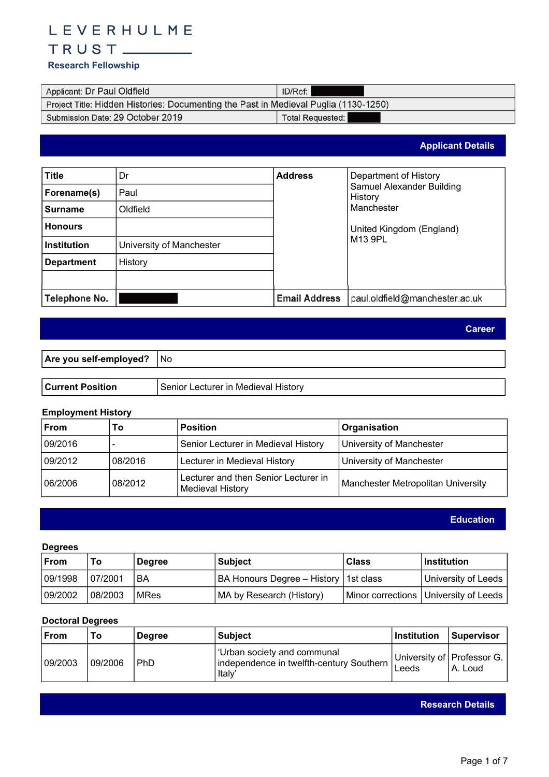# LEVERHULME

# 

# **Research Fellowship**

| Applicant: Dr Paul Oldfield                                                          | ID/Ref:                 |  |
|--------------------------------------------------------------------------------------|-------------------------|--|
| Project Title: Hidden Histories: Documenting the Past in Medieval Puglia (1130-1250) |                         |  |
| Submission Date: 29 October 2019                                                     | <b>Total Requested:</b> |  |

**Applicant Details**

| <b>Title</b>       | Dr                       | <b>Address</b>       | Department of History                |
|--------------------|--------------------------|----------------------|--------------------------------------|
| Forename(s)        | Paul                     |                      | Samuel Alexander Building<br>History |
| <b>Surname</b>     | Oldfield                 |                      | Manchester                           |
| <b>Honours</b>     |                          |                      | United Kingdom (England)             |
| <b>Institution</b> | University of Manchester |                      | M13 9PL                              |
| <b>Department</b>  | History                  |                      |                                      |
|                    |                          |                      |                                      |
| Telephone No.      |                          | <b>Email Address</b> | paul.oldfield@manchester.ac.uk       |

**Career**

| <b>Are you self-employed?</b> | 1 No |
|-------------------------------|------|
|                               |      |

| <b>↓Current Position</b> | Senior<br>Lecturer in Medieval '<br><b>History</b> |
|--------------------------|----------------------------------------------------|
|                          |                                                    |

# **Employment History**

| From    | To      | <b>Position</b>                                          | <b>Organisation</b>                |
|---------|---------|----------------------------------------------------------|------------------------------------|
| 09/2016 |         | Senior Lecturer in Medieval History                      | University of Manchester           |
| 09/2012 | 08/2016 | Lecturer in Medieval History                             | University of Manchester           |
| 06/2006 | 08/2012 | Lecturer and then Senior Lecturer in<br>Medieval History | Manchester Metropolitan University |

**Education**

# **Degrees**

| ∣From   | To       | <b>Degree</b> | <b>Subject</b>                          | <b>Class</b> | $ $ Institution                       |
|---------|----------|---------------|-----------------------------------------|--------------|---------------------------------------|
| 09/1998 | 07/2001  | BA            | BA Honours Degree – History   1st class |              | University of Leeds                   |
| 09/2002 | 108/2003 | <b>IMRes</b>  | MA by Research (History)                |              | Minor corrections University of Leeds |

# **Doctoral Degrees**

| From    | То      | <b>Degree</b> | Subiect                                                                                             | Institution | <b>Supervisor</b>                     |
|---------|---------|---------------|-----------------------------------------------------------------------------------------------------|-------------|---------------------------------------|
| 09/2003 | 09/2006 | PhD           | <b>Urban society and communal</b><br>independence in twelfth-century Southern<br>ltalv <sup>'</sup> | Leeds       | University of Professor G.<br>A. Loud |

**Research Details**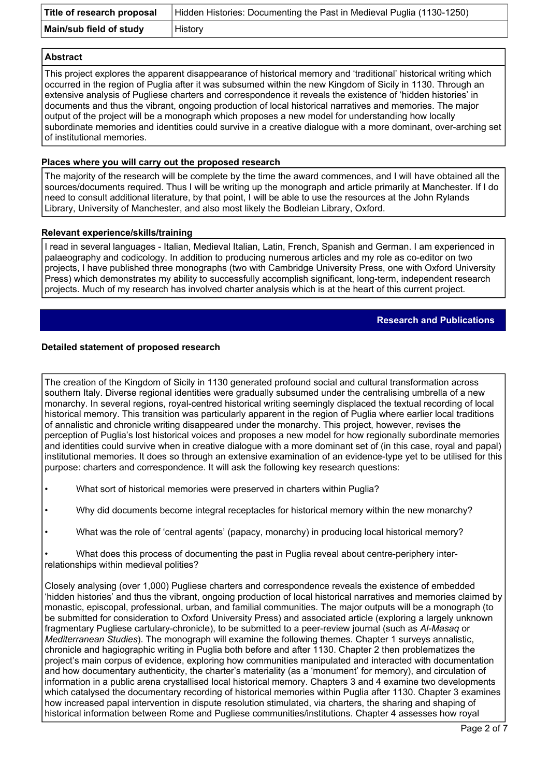| Title of research proposal | Hidden Histories: Documenting the Past in Medieval Puglia (1130-1250) |
|----------------------------|-----------------------------------------------------------------------|
| Main/sub field of study    | History                                                               |

#### **Abstract**

This project explores the apparent disappearance of historical memory and 'traditional' historical writing which occurred in the region of Puglia after it was subsumed within the new Kingdom of Sicily in 1130. Through an extensive analysis of Pugliese charters and correspondence it reveals the existence of 'hidden histories' in documents and thus the vibrant, ongoing production of local historical narratives and memories. The major output of the project will be a monograph which proposes a new model for understanding how locally subordinate memories and identities could survive in a creative dialogue with a more dominant, over-arching set of institutional memories.

# **Places where you will carry out the proposed research**

The majority of the research will be complete by the time the award commences, and I will have obtained all the sources/documents required. Thus I will be writing up the monograph and article primarily at Manchester. If I do need to consult additional literature, by that point, I will be able to use the resources at the John Rylands Library, University of Manchester, and also most likely the Bodleian Library, Oxford.

#### **Relevant experience/skills/training**

I read in several languages - Italian, Medieval Italian, Latin, French, Spanish and German. I am experienced in palaeography and codicology. In addition to producing numerous articles and my role as co-editor on two projects, I have published three monographs (two with Cambridge University Press, one with Oxford University Press) which demonstrates my ability to successfully accomplish significant, long-term, independent research projects. Much of my research has involved charter analysis which is at the heart of this current project.

# **Research and Publications**

# **Detailed statement of proposed research**

The creation of the Kingdom of Sicily in 1130 generated profound social and cultural transformation across southern Italy. Diverse regional identities were gradually subsumed under the centralising umbrella of a new monarchy. In several regions, royal-centred historical writing seemingly displaced the textual recording of local historical memory. This transition was particularly apparent in the region of Puglia where earlier local traditions of annalistic and chronicle writing disappeared under the monarchy. This project, however, revises the perception of Puglia's lost historical voices and proposes a new model for how regionally subordinate memories and identities could survive when in creative dialogue with a more dominant set of (in this case, royal and papal) institutional memories. It does so through an extensive examination of an evidence-type yet to be utilised for this purpose: charters and correspondence. It will ask the following key research questions:

• What sort of historical memories were preserved in charters within Puglia?

• Why did documents become integral receptacles for historical memory within the new monarchy?

• What was the role of 'central agents' (papacy, monarchy) in producing local historical memory?

• What does this process of documenting the past in Puglia reveal about centre-periphery interrelationships within medieval polities?

Closely analysing (over 1,000) Pugliese charters and correspondence reveals the existence of embedded 'hidden histories' and thus the vibrant, ongoing production of local historical narratives and memories claimed by monastic, episcopal, professional, urban, and familial communities. The major outputs will be a monograph (to be submitted for consideration to Oxford University Press) and associated article (exploring a largely unknown fragmentary Pugliese cartulary-chronicle), to be submitted to a peer-review journal (such as *Al-Masaq* or *Mediterranean Studies*). The monograph will examine the following themes. Chapter 1 surveys annalistic, chronicle and hagiographic writing in Puglia both before and after 1130. Chapter 2 then problematizes the project's main corpus of evidence, exploring how communities manipulated and interacted with documentation and how documentary authenticity, the charter's materiality (as a 'monument' for memory), and circulation of information in a public arena crystallised local historical memory. Chapters 3 and 4 examine two developments which catalysed the documentary recording of historical memories within Puglia after 1130. Chapter 3 examines how increased papal intervention in dispute resolution stimulated, via charters, the sharing and shaping of historical information between Rome and Pugliese communities/institutions. Chapter 4 assesses how royal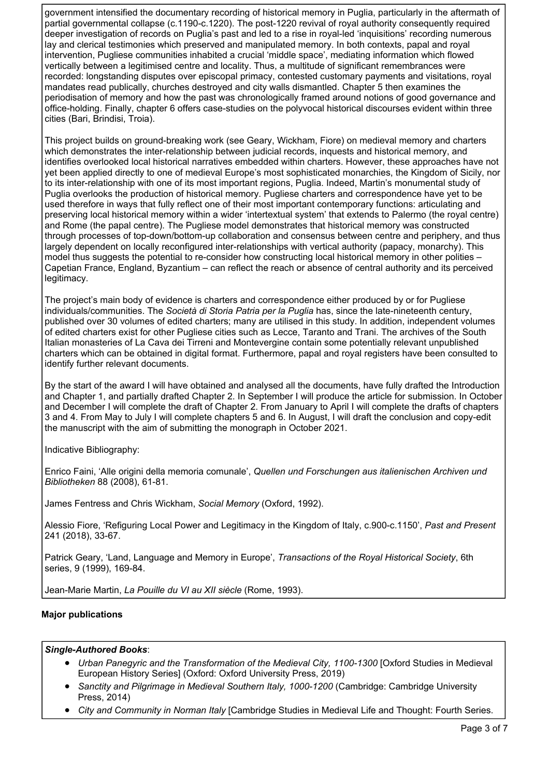government intensified the documentary recording of historical memory in Puglia, particularly in the aftermath of partial governmental collapse (c.1190-c.1220). The post-1220 revival of royal authority consequently required deeper investigation of records on Puglia's past and led to a rise in royal-led 'inquisitions' recording numerous lay and clerical testimonies which preserved and manipulated memory. In both contexts, papal and royal intervention, Pugliese communities inhabited a crucial 'middle space', mediating information which flowed vertically between a legitimised centre and locality. Thus, a multitude of significant remembrances were recorded: longstanding disputes over episcopal primacy, contested customary payments and visitations, royal mandates read publically, churches destroyed and city walls dismantled. Chapter 5 then examines the periodisation of memory and how the past was chronologically framed around notions of good governance and office-holding. Finally, chapter 6 offers case-studies on the polyvocal historical discourses evident within three cities (Bari, Brindisi, Troia).

This project builds on ground-breaking work (see Geary, Wickham, Fiore) on medieval memory and charters which demonstrates the inter-relationship between judicial records, inquests and historical memory, and identifies overlooked local historical narratives embedded within charters. However, these approaches have not yet been applied directly to one of medieval Europe's most sophisticated monarchies, the Kingdom of Sicily, nor to its inter-relationship with one of its most important regions, Puglia. Indeed, Martin's monumental study of Puglia overlooks the production of historical memory. Pugliese charters and correspondence have yet to be used therefore in ways that fully reflect one of their most important contemporary functions: articulating and preserving local historical memory within a wider 'intertextual system' that extends to Palermo (the royal centre) and Rome (the papal centre). The Pugliese model demonstrates that historical memory was constructed through processes of top-down/bottom-up collaboration and consensus between centre and periphery, and thus largely dependent on locally reconfigured inter-relationships with vertical authority (papacy, monarchy). This model thus suggests the potential to re-consider how constructing local historical memory in other polities – Capetian France, England, Byzantium – can reflect the reach or absence of central authority and its perceived legitimacy.

The project's main body of evidence is charters and correspondence either produced by or for Pugliese individuals/communities. The *Società di Storia Patria per la Puglia* has, since the late-nineteenth century, published over 30 volumes of edited charters; many are utilised in this study. In addition, independent volumes of edited charters exist for other Pugliese cities such as Lecce, Taranto and Trani. The archives of the South Italian monasteries of La Cava dei Tirreni and Montevergine contain some potentially relevant unpublished charters which can be obtained in digital format. Furthermore, papal and royal registers have been consulted to identify further relevant documents.

By the start of the award I will have obtained and analysed all the documents, have fully drafted the Introduction and Chapter 1, and partially drafted Chapter 2. In September I will produce the article for submission. In October and December I will complete the draft of Chapter 2. From January to April I will complete the drafts of chapters 3 and 4. From May to July I will complete chapters 5 and 6. In August, I will draft the conclusion and copy-edit the manuscript with the aim of submitting the monograph in October 2021.

Indicative Bibliography:

Enrico Faini, 'Alle origini della memoria comunale', *Quellen und Forschungen aus italienischen Archiven und Bibliotheken* 88 (2008), 61-81.

James Fentress and Chris Wickham, *Social Memory* (Oxford, 1992).

Alessio Fiore, 'Refiguring Local Power and Legitimacy in the Kingdom of Italy, c.900-c.1150', *Past and Present* 241 (2018), 33-67.

Patrick Geary, 'Land, Language and Memory in Europe', *Transactions of the Royal Historical Society*, 6th series, 9 (1999), 169-84.

Jean-Marie Martin, *La Pouille du VI au XII siècle* (Rome, 1993).

# **Major publications**

#### *Single-Authored Books*:

- *Urban Panegyric and the Transformation of the Medieval City, 1100-1300* [Oxford Studies in Medieval European History Series] (Oxford: Oxford University Press, 2019)
- *Sanctity and Pilgrimage in Medieval Southern Italy, 1000-1200* (Cambridge: Cambridge University Press, 2014)
- *City and Community in Norman Italy* [Cambridge Studies in Medieval Life and Thought: Fourth Series.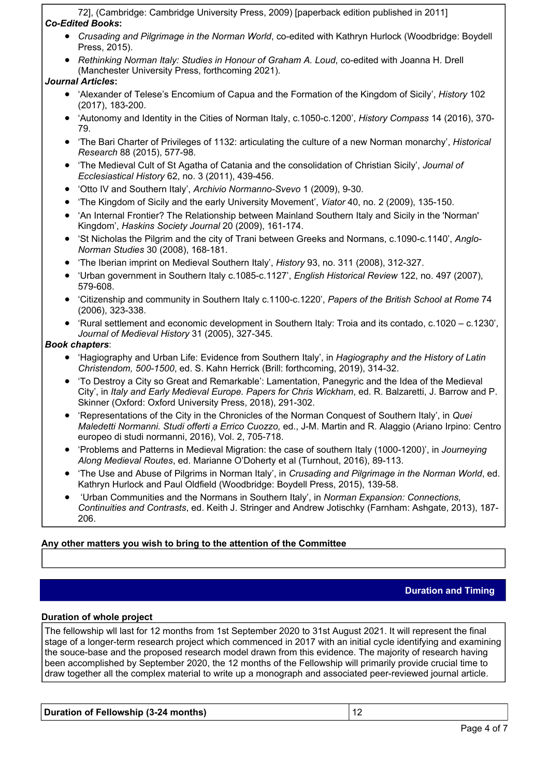72], (Cambridge: Cambridge University Press, 2009) [paperback edition published in 2011] *Co-Edited Books***:**

- *Crusading and Pilgrimage in the Norman World*, co-edited with Kathryn Hurlock (Woodbridge: Boydell Press, 2015).
- *Rethinking Norman Italy: Studies in Honour of Graham A. Loud*, co-edited with Joanna H. Drell (Manchester University Press, forthcoming 2021).

# *Journal Articles***:**

- 'Alexander of Telese's Encomium of Capua and the Formation of the Kingdom of Sicily', *History* 102 (2017), 183-200.
- 'Autonomy and Identity in the Cities of Norman Italy, c.1050-c.1200', *History Compass* 14 (2016), 370- 79.
- 'The Bari Charter of Privileges of 1132: articulating the culture of a new Norman monarchy', *Historical Research* 88 (2015), 577-98.
- 'The Medieval Cult of St Agatha of Catania and the consolidation of Christian Sicily', *Journal of Ecclesiastical History* 62, no. 3 (2011), 439-456.
- 'Otto IV and Southern Italy', *Archivio Normanno-Svevo* 1 (2009), 9-30.
- 'The Kingdom of Sicily and the early University Movement', *Viator* 40, no. 2 (2009), 135-150.
- 'An Internal Frontier? The Relationship between Mainland Southern Italy and Sicily in the 'Norman' Kingdom', *Haskins Society Journal* 20 (2009), 161-174.
- 'St Nicholas the Pilgrim and the city of Trani between Greeks and Normans, c.1090-c.1140', *Anglo-Norman Studies* 30 (2008), 168-181.
- 'The Iberian imprint on Medieval Southern Italy', *History* 93, no. 311 (2008), 312-327.
- 'Urban government in Southern Italy c.1085-c.1127', *English Historical Review* 122, no. 497 (2007), 579-608.
- 'Citizenship and community in Southern Italy c.1100-c.1220', *Papers of the British School at Rome* 74 (2006), 323-338.
- 'Rural settlement and economic development in Southern Italy: Troia and its contado, c.1020 c.1230', *Journal of Medieval History* 31 (2005), 327-345.

# *Book chapters*:

- 'Hagiography and Urban Life: Evidence from Southern Italy', in *Hagiography and the History of Latin Christendom, 500-1500*, ed. S. Kahn Herrick (Brill: forthcoming, 2019), 314-32.
- 'To Destroy a City so Great and Remarkable': Lamentation, Panegyric and the Idea of the Medieval City', in *Italy and Early Medieval Europe. Papers for Chris Wickham*, ed. R. Balzaretti, J. Barrow and P. Skinner (Oxford: Oxford University Press, 2018), 291-302.
- 'Representations of the City in the Chronicles of the Norman Conquest of Southern Italy', in *Quei Maledetti Normanni. Studi offerti a Errico Cuozzo,* ed., J-M. Martin and R. Alaggio (Ariano Irpino: Centro europeo di studi normanni, 2016), Vol. 2, 705-718.
- 'Problems and Patterns in Medieval Migration: the case of southern Italy (1000-1200)', in *Journeying Along Medieval Routes*, ed. Marianne O'Doherty et al (Turnhout, 2016), 89-113.
- 'The Use and Abuse of Pilgrims in Norman Italy', in *Crusading and Pilgrimage in the Norman World*, ed. Kathryn Hurlock and Paul Oldfield (Woodbridge: Boydell Press, 2015), 139-58.
- 'Urban Communities and the Normans in Southern Italy', in *Norman Expansion: Connections, Continuities and Contrasts*, ed. Keith J. Stringer and Andrew Jotischky (Farnham: Ashgate, 2013), 187- 206.

# **Any other matters you wish to bring to the attention of the Committee**

# **Duration and Timing**

# **Duration of whole project**

The fellowship wll last for 12 months from 1st September 2020 to 31st August 2021. It will represent the final stage of a longer-term research project which commenced in 2017 with an initial cycle identifying and examining the souce-base and the proposed research model drawn from this evidence. The majority of research having been accomplished by September 2020, the 12 months of the Fellowship will primarily provide crucial time to draw together all the complex material to write up a monograph and associated peer-reviewed journal article.

# **Duration of Fellowship (3-24 months)** 12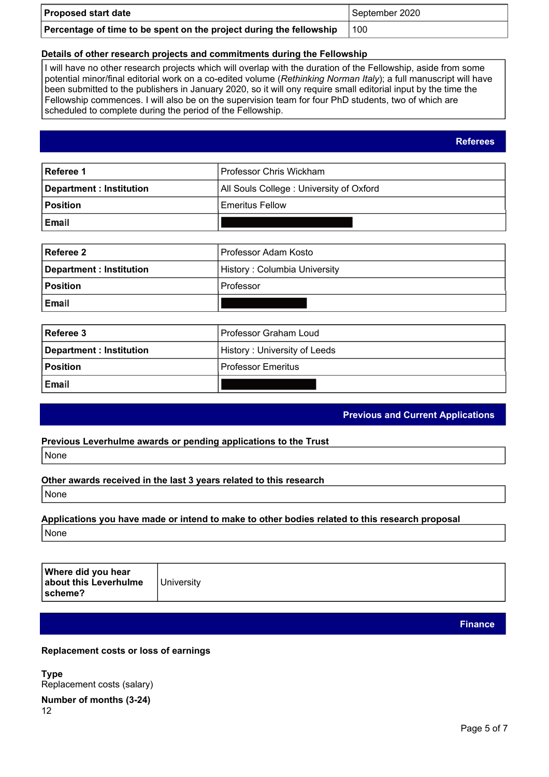| <b>Proposed start date</b>                                          | September 2020 |
|---------------------------------------------------------------------|----------------|
| Percentage of time to be spent on the project during the fellowship | 100            |

# **Details of other research projects and commitments during the Fellowship**

I will have no other research projects which will overlap with the duration of the Fellowship, aside from some potential minor/final editorial work on a co-edited volume (*Rethinking Norman Italy*); a full manuscript will have been submitted to the publishers in January 2020, so it will ony require small editorial input by the time the Fellowship commences. I will also be on the supervision team for four PhD students, two of which are scheduled to complete during the period of the Fellowship.

| Referee 1                      | Professor Chris Wickham                 |
|--------------------------------|-----------------------------------------|
| <b>Department: Institution</b> | All Souls College: University of Oxford |
| <b>Position</b>                | <b>Emeritus Fellow</b>                  |
| Email                          |                                         |

| Referee 2                | Professor Adam Kosto         |
|--------------------------|------------------------------|
| Department : Institution | History: Columbia University |
| <b>Position</b>          | l Professor                  |
| Email                    |                              |

| Referee 3                | Professor Graham Loud        |
|--------------------------|------------------------------|
| Department : Institution | History: University of Leeds |
| <b>Position</b>          | l Professor Emeritus         |
| Email                    |                              |

# **Previous and Current Applications**

# **Previous Leverhulme awards or pending applications to the Trust**

None

# **Other awards received in the last 3 years related to this research**

None

# **Applications you have made or intend to make to other bodies related to this research proposal** None

| Where did you hear<br>about this Leverhulme<br> scheme? | University |
|---------------------------------------------------------|------------|
|---------------------------------------------------------|------------|

**Finance**

# **Replacement costs or loss of earnings**

**Type**  Replacement costs (salary)

**Number of months (3-24)** 12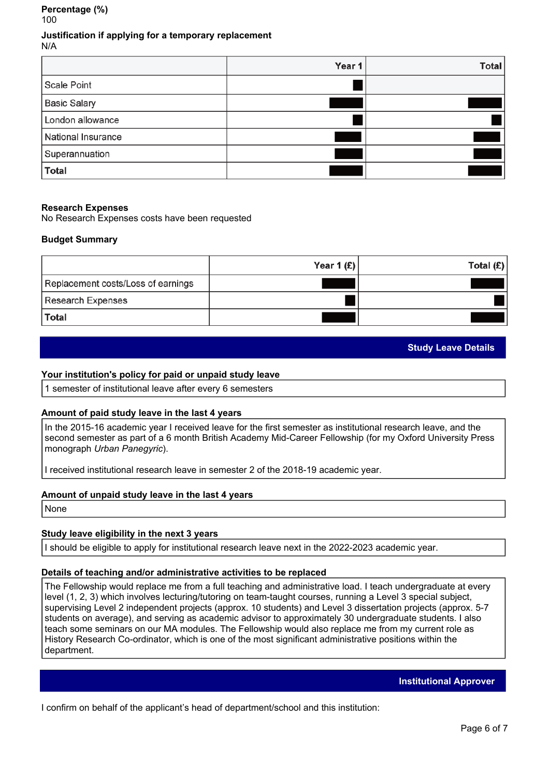#### **Percentage (%)**  100

**Justification if applying for a temporary replacement** N/A

|                     | Year 1 | <b>Total</b> |
|---------------------|--------|--------------|
| <b>Scale Point</b>  |        |              |
| <b>Basic Salary</b> |        |              |
| London allowance    |        |              |
| National Insurance  |        |              |
| Superannuation      |        |              |
| <b>Total</b>        |        |              |

#### **Research Expenses**

No Research Expenses costs have been requested

#### **Budget Summary**

|                                    | Year 1 $(E)$ | Total $(E)$ |
|------------------------------------|--------------|-------------|
| Replacement costs/Loss of earnings |              |             |
| Research Expenses                  |              |             |
| <b>Total</b>                       |              |             |

# **Study Leave Details**

#### **Your institution's policy for paid or unpaid study leave**

1 semester of institutional leave after every 6 semesters

#### **Amount of paid study leave in the last 4 years**

In the 2015-16 academic year I received leave for the first semester as institutional research leave, and the second semester as part of a 6 month British Academy Mid-Career Fellowship (for my Oxford University Press monograph *Urban Panegyric*).

I received institutional research leave in semester 2 of the 2018-19 academic year.

#### **Amount of unpaid study leave in the last 4 years**

None

# **Study leave eligibility in the next 3 years**

I should be eligible to apply for institutional research leave next in the 2022-2023 academic year.

#### **Details of teaching and/or administrative activities to be replaced**

The Fellowship would replace me from a full teaching and administrative load. I teach undergraduate at every level (1, 2, 3) which involves lecturing/tutoring on team-taught courses, running a Level 3 special subject, supervising Level 2 independent projects (approx. 10 students) and Level 3 dissertation projects (approx. 5-7 students on average), and serving as academic advisor to approximately 30 undergraduate students. I also teach some seminars on our MA modules. The Fellowship would also replace me from my current role as History Research Co-ordinator, which is one of the most significant administrative positions within the department.

**Institutional Approver**

I confirm on behalf of the applicant's head of department/school and this institution: